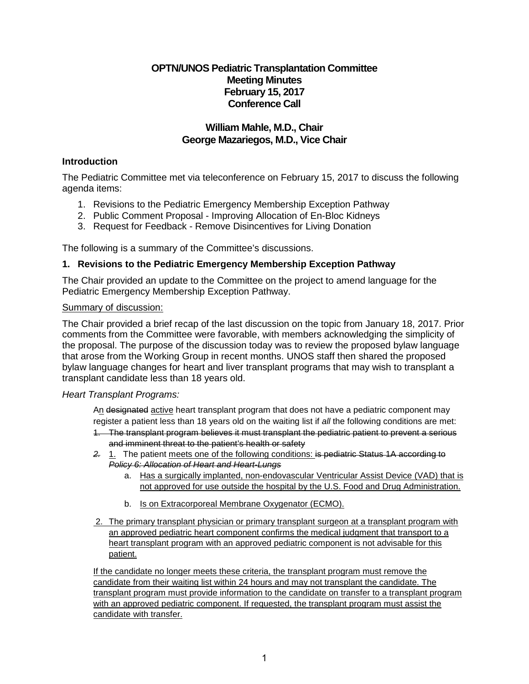# **OPTN/UNOS Pediatric Transplantation Committee Meeting Minutes February 15, 2017 Conference Call**

# **William Mahle, M.D., Chair George Mazariegos, M.D., Vice Chair**

# **Introduction**

The Pediatric Committee met via teleconference on February 15, 2017 to discuss the following agenda items:

- 1. Revisions to the Pediatric Emergency Membership Exception Pathway
- 2. Public Comment Proposal Improving Allocation of En-Bloc Kidneys
- 3. Request for Feedback Remove Disincentives for Living Donation

The following is a summary of the Committee's discussions.

# **1. Revisions to the Pediatric Emergency Membership Exception Pathway**

The Chair provided an update to the Committee on the project to amend language for the Pediatric Emergency Membership Exception Pathway.

### Summary of discussion:

The Chair provided a brief recap of the last discussion on the topic from January 18, 2017. Prior comments from the Committee were favorable, with members acknowledging the simplicity of the proposal. The purpose of the discussion today was to review the proposed bylaw language that arose from the Working Group in recent months. UNOS staff then shared the proposed bylaw language changes for heart and liver transplant programs that may wish to transplant a transplant candidate less than 18 years old.

# *Heart Transplant Programs:*

An designated active heart transplant program that does not have a pediatric component may register a patient less than 18 years old on the waiting list if *all* the following conditions are met:

- 1. The transplant program believes it must transplant the pediatric patient to prevent a serious and imminent threat to the patient's health or safety
- *2.* 1. The patient meets one of the following conditions: is pediatric Status 1A according to *Policy 6: Allocation of Heart and Heart-Lungs*
	- a. Has a surgically implanted, non-endovascular Ventricular Assist Device (VAD) that is not approved for use outside the hospital by the U.S. Food and Drug Administration.
	- b. Is on Extracorporeal Membrane Oxygenator (ECMO).
- 2. The primary transplant physician or primary transplant surgeon at a transplant program with an approved pediatric heart component confirms the medical judgment that transport to a heart transplant program with an approved pediatric component is not advisable for this patient.

If the candidate no longer meets these criteria, the transplant program must remove the candidate from their waiting list within 24 hours and may not transplant the candidate. The transplant program must provide information to the candidate on transfer to a transplant program with an approved pediatric component. If requested, the transplant program must assist the candidate with transfer.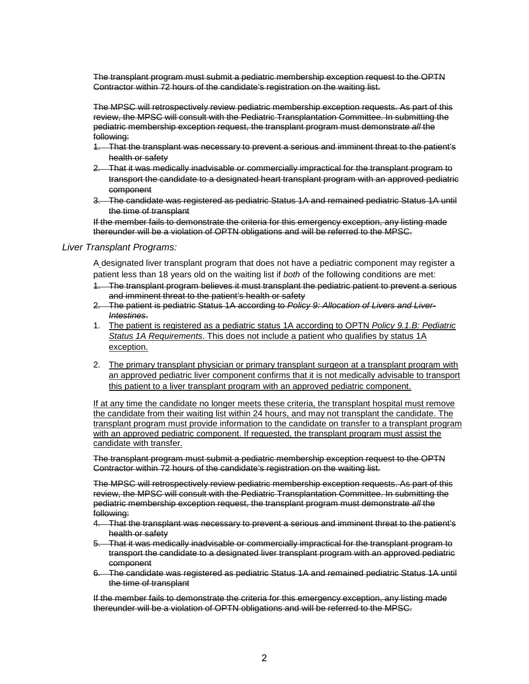The transplant program must submit a pediatric membership exception request to the OPTN Contractor within 72 hours of the candidate's registration on the waiting list.

The MPSC will retrospectively review pediatric membership exception requests. As part of this review, the MPSC will consult with the Pediatric Transplantation Committee. In submitting the pediatric membership exception request, the transplant program must demonstrate *all* the following:

- 1. That the transplant was necessary to prevent a serious and imminent threat to the patient's health or safety
- 2. That it was medically inadvisable or commercially impractical for the transplant program to transport the candidate to a designated heart transplant program with an approved pediatric component
- 3. The candidate was registered as pediatric Status 1A and remained pediatric Status 1A until the time of transplant

If the member fails to demonstrate the criteria for this emergency exception, any listing made thereunder will be a violation of OPTN obligations and will be referred to the MPSC.

#### *Liver Transplant Programs:*

A designated liver transplant program that does not have a pediatric component may register a patient less than 18 years old on the waiting list if *both* of the following conditions are met:

- 1. The transplant program believes it must transplant the pediatric patient to prevent a serious and imminent threat to the patient's health or safety
- 2. The patient is pediatric Status 1A according to *Policy 9: Allocation of Livers and Liver-Intestines*.
- 1. The patient is registered as a pediatric status 1A according to OPTN *Policy 9.1.B: Pediatric Status 1A Requirements*. This does not include a patient who qualifies by status 1A exception.
- 2. The primary transplant physician or primary transplant surgeon at a transplant program with an approved pediatric liver component confirms that it is not medically advisable to transport this patient to a liver transplant program with an approved pediatric component.

If at any time the candidate no longer meets these criteria, the transplant hospital must remove the candidate from their waiting list within 24 hours, and may not transplant the candidate. The transplant program must provide information to the candidate on transfer to a transplant program with an approved pediatric component. If requested, the transplant program must assist the candidate with transfer.

The transplant program must submit a pediatric membership exception request to the OPTN Contractor within 72 hours of the candidate's registration on the waiting list.

The MPSC will retrospectively review pediatric membership exception requests. As part of this review, the MPSC will consult with the Pediatric Transplantation Committee. In submitting the pediatric membership exception request, the transplant program must demonstrate *all* the following:

- 4. That the transplant was necessary to prevent a serious and imminent threat to the patient's health or safety
- 5. That it was medically inadvisable or commercially impractical for the transplant program to transport the candidate to a designated liver transplant program with an approved pediatric component
- 6. The candidate was registered as pediatric Status 1A and remained pediatric Status 1A until the time of transplant

If the member fails to demonstrate the criteria for this emergency exception, any listing made thereunder will be a violation of OPTN obligations and will be referred to the MPSC.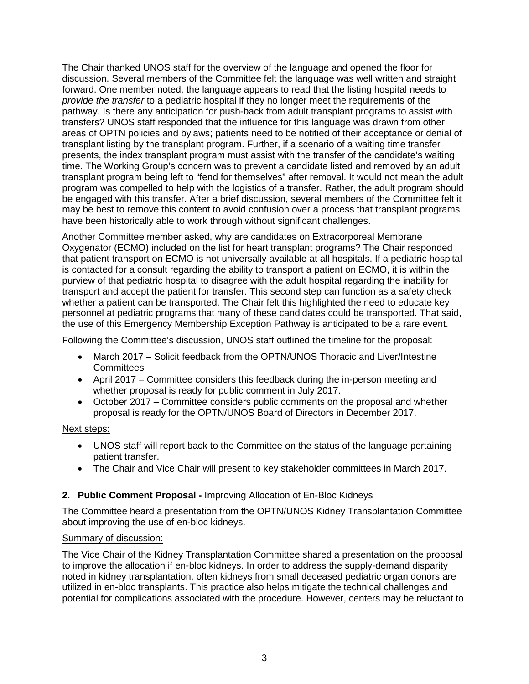The Chair thanked UNOS staff for the overview of the language and opened the floor for discussion. Several members of the Committee felt the language was well written and straight forward. One member noted, the language appears to read that the listing hospital needs to *provide the transfer* to a pediatric hospital if they no longer meet the requirements of the pathway. Is there any anticipation for push-back from adult transplant programs to assist with transfers? UNOS staff responded that the influence for this language was drawn from other areas of OPTN policies and bylaws; patients need to be notified of their acceptance or denial of transplant listing by the transplant program. Further, if a scenario of a waiting time transfer presents, the index transplant program must assist with the transfer of the candidate's waiting time. The Working Group's concern was to prevent a candidate listed and removed by an adult transplant program being left to "fend for themselves" after removal. It would not mean the adult program was compelled to help with the logistics of a transfer. Rather, the adult program should be engaged with this transfer. After a brief discussion, several members of the Committee felt it may be best to remove this content to avoid confusion over a process that transplant programs have been historically able to work through without significant challenges.

Another Committee member asked, why are candidates on Extracorporeal Membrane Oxygenator (ECMO) included on the list for heart transplant programs? The Chair responded that patient transport on ECMO is not universally available at all hospitals. If a pediatric hospital is contacted for a consult regarding the ability to transport a patient on ECMO, it is within the purview of that pediatric hospital to disagree with the adult hospital regarding the inability for transport and accept the patient for transfer. This second step can function as a safety check whether a patient can be transported. The Chair felt this highlighted the need to educate key personnel at pediatric programs that many of these candidates could be transported. That said, the use of this Emergency Membership Exception Pathway is anticipated to be a rare event.

Following the Committee's discussion, UNOS staff outlined the timeline for the proposal:

- March 2017 Solicit feedback from the OPTN/UNOS Thoracic and Liver/Intestine **Committees**
- April 2017 Committee considers this feedback during the in-person meeting and whether proposal is ready for public comment in July 2017.
- October 2017 Committee considers public comments on the proposal and whether proposal is ready for the OPTN/UNOS Board of Directors in December 2017.

#### Next steps:

- UNOS staff will report back to the Committee on the status of the language pertaining patient transfer.
- The Chair and Vice Chair will present to key stakeholder committees in March 2017.

# **2. Public Comment Proposal -** Improving Allocation of En-Bloc Kidneys

The Committee heard a presentation from the OPTN/UNOS Kidney Transplantation Committee about improving the use of en-bloc kidneys.

### Summary of discussion:

The Vice Chair of the Kidney Transplantation Committee shared a presentation on the proposal to improve the allocation if en-bloc kidneys. In order to address the supply-demand disparity noted in kidney transplantation, often kidneys from small deceased pediatric organ donors are utilized in en-bloc transplants. This practice also helps mitigate the technical challenges and potential for complications associated with the procedure. However, centers may be reluctant to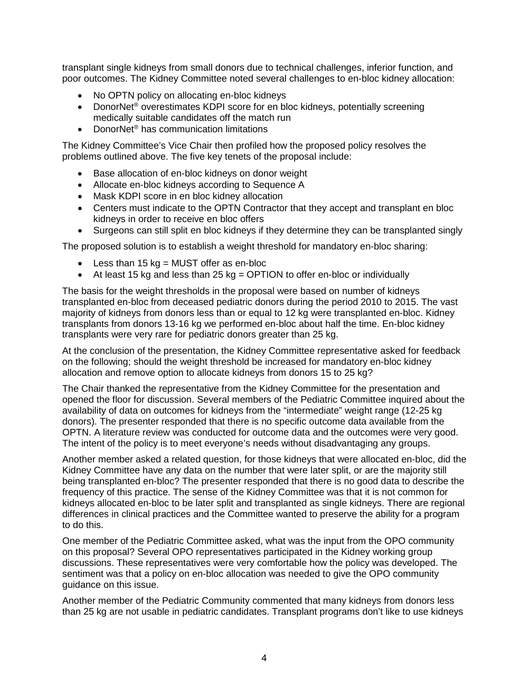transplant single kidneys from small donors due to technical challenges, inferior function, and poor outcomes. The Kidney Committee noted several challenges to en-bloc kidney allocation:

- No OPTN policy on allocating en-bloc kidneys
- DonorNet<sup>®</sup> overestimates KDPI score for en bloc kidneys, potentially screening medically suitable candidates off the match run
- DonorNet® has communication limitations

The Kidney Committee's Vice Chair then profiled how the proposed policy resolves the problems outlined above. The five key tenets of the proposal include:

- Base allocation of en-bloc kidneys on donor weight
- Allocate en-bloc kidneys according to Sequence A
- Mask KDPI score in en bloc kidney allocation
- Centers must indicate to the OPTN Contractor that they accept and transplant en bloc kidneys in order to receive en bloc offers
- Surgeons can still split en bloc kidneys if they determine they can be transplanted singly

The proposed solution is to establish a weight threshold for mandatory en-bloc sharing:

- Less than  $15 \text{ kg} = \text{MUST}$  offer as en-bloc
- At least 15 kg and less than 25 kg = OPTION to offer en-bloc or individually

The basis for the weight thresholds in the proposal were based on number of kidneys transplanted en-bloc from deceased pediatric donors during the period 2010 to 2015. The vast majority of kidneys from donors less than or equal to 12 kg were transplanted en-bloc. Kidney transplants from donors 13-16 kg we performed en-bloc about half the time. En-bloc kidney transplants were very rare for pediatric donors greater than 25 kg.

At the conclusion of the presentation, the Kidney Committee representative asked for feedback on the following; should the weight threshold be increased for mandatory en-bloc kidney allocation and remove option to allocate kidneys from donors 15 to 25 kg?

The Chair thanked the representative from the Kidney Committee for the presentation and opened the floor for discussion. Several members of the Pediatric Committee inquired about the availability of data on outcomes for kidneys from the "intermediate" weight range (12-25 kg donors). The presenter responded that there is no specific outcome data available from the OPTN. A literature review was conducted for outcome data and the outcomes were very good. The intent of the policy is to meet everyone's needs without disadvantaging any groups.

Another member asked a related question, for those kidneys that were allocated en-bloc, did the Kidney Committee have any data on the number that were later split, or are the majority still being transplanted en-bloc? The presenter responded that there is no good data to describe the frequency of this practice. The sense of the Kidney Committee was that it is not common for kidneys allocated en-bloc to be later split and transplanted as single kidneys. There are regional differences in clinical practices and the Committee wanted to preserve the ability for a program to do this.

One member of the Pediatric Committee asked, what was the input from the OPO community on this proposal? Several OPO representatives participated in the Kidney working group discussions. These representatives were very comfortable how the policy was developed. The sentiment was that a policy on en-bloc allocation was needed to give the OPO community guidance on this issue.

Another member of the Pediatric Community commented that many kidneys from donors less than 25 kg are not usable in pediatric candidates. Transplant programs don't like to use kidneys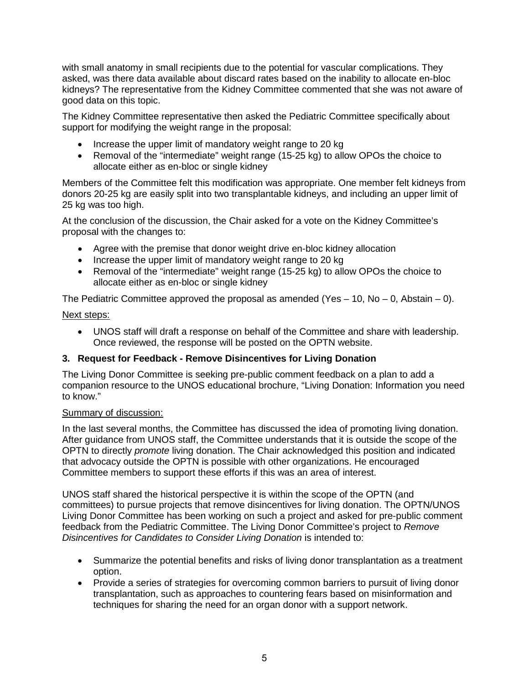with small anatomy in small recipients due to the potential for vascular complications. They asked, was there data available about discard rates based on the inability to allocate en-bloc kidneys? The representative from the Kidney Committee commented that she was not aware of good data on this topic.

The Kidney Committee representative then asked the Pediatric Committee specifically about support for modifying the weight range in the proposal:

- Increase the upper limit of mandatory weight range to 20 kg
- Removal of the "intermediate" weight range (15-25 kg) to allow OPOs the choice to allocate either as en-bloc or single kidney

Members of the Committee felt this modification was appropriate. One member felt kidneys from donors 20-25 kg are easily split into two transplantable kidneys, and including an upper limit of 25 kg was too high.

At the conclusion of the discussion, the Chair asked for a vote on the Kidney Committee's proposal with the changes to:

- Agree with the premise that donor weight drive en-bloc kidney allocation
- Increase the upper limit of mandatory weight range to 20 kg
- Removal of the "intermediate" weight range (15-25 kg) to allow OPOs the choice to allocate either as en-bloc or single kidney

The Pediatric Committee approved the proposal as amended (Yes  $-10$ , No  $-0$ , Abstain  $-0$ ).

### Next steps:

• UNOS staff will draft a response on behalf of the Committee and share with leadership. Once reviewed, the response will be posted on the OPTN website.

# **3. Request for Feedback - Remove Disincentives for Living Donation**

The Living Donor Committee is seeking pre-public comment feedback on a plan to add a companion resource to the UNOS educational brochure, "Living Donation: Information you need to know."

# Summary of discussion:

In the last several months, the Committee has discussed the idea of promoting living donation. After guidance from UNOS staff, the Committee understands that it is outside the scope of the OPTN to directly *promote* living donation. The Chair acknowledged this position and indicated that advocacy outside the OPTN is possible with other organizations. He encouraged Committee members to support these efforts if this was an area of interest.

UNOS staff shared the historical perspective it is within the scope of the OPTN (and committees) to pursue projects that remove disincentives for living donation. The OPTN/UNOS Living Donor Committee has been working on such a project and asked for pre-public comment feedback from the Pediatric Committee. The Living Donor Committee's project to *Remove Disincentives for Candidates to Consider Living Donation* is intended to:

- Summarize the potential benefits and risks of living donor transplantation as a treatment option.
- Provide a series of strategies for overcoming common barriers to pursuit of living donor transplantation, such as approaches to countering fears based on misinformation and techniques for sharing the need for an organ donor with a support network.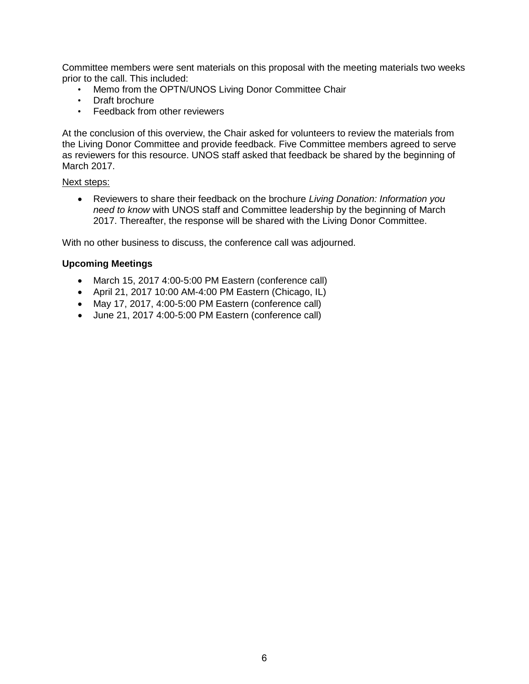Committee members were sent materials on this proposal with the meeting materials two weeks prior to the call. This included:

- Memo from the OPTN/UNOS Living Donor Committee Chair
- Draft brochure
- Feedback from other reviewers

At the conclusion of this overview, the Chair asked for volunteers to review the materials from the Living Donor Committee and provide feedback. Five Committee members agreed to serve as reviewers for this resource. UNOS staff asked that feedback be shared by the beginning of March 2017.

#### Next steps:

• Reviewers to share their feedback on the brochure *Living Donation: Information you need to know* with UNOS staff and Committee leadership by the beginning of March 2017. Thereafter, the response will be shared with the Living Donor Committee.

With no other business to discuss, the conference call was adjourned.

#### **Upcoming Meetings**

- March 15, 2017 4:00-5:00 PM Eastern (conference call)
- April 21, 2017 10:00 AM-4:00 PM Eastern (Chicago, IL)
- May 17, 2017, 4:00-5:00 PM Eastern (conference call)
- June 21, 2017 4:00-5:00 PM Eastern (conference call)